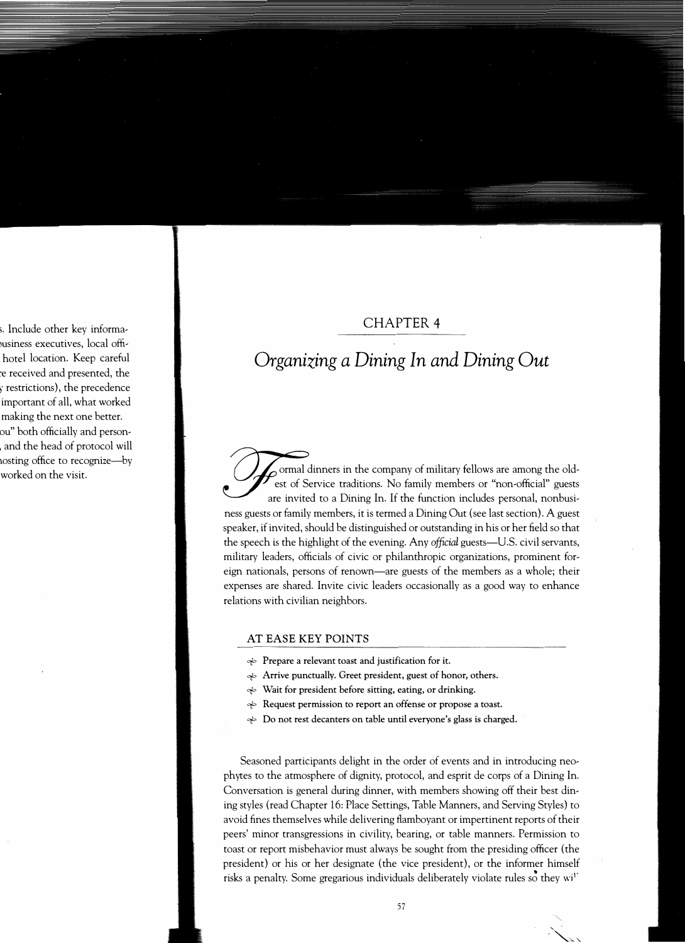## CHAPTER 4

## *Organizing a Dining In and Dining Out*

ormal dinners in the company of military fellows are among the oldest of Service traditions. No family members or "non-official" guests are invited to a Dining In. If the function includes personal, nonbusiness guests or family members, it is termed a Dining Out (see last section). A guest speaker, if invited, should be distinguished or outstanding in his or her field so that the speech is the highlight of the evening. Any *official* guests—U.S. civil servants, military leaders, officials of civic or philanthropic organizations, prominent foreign nationals, persons of renown-are guests of the members as a whole; their expenses are shared. Invite civic leaders occasionally as a good way to enhance relations with civilian neighbors.

## **AT EASE KEY POINTS**

- *ct=,* Prepare a relevant toast and justification for it.
- $\Rightarrow$  Arrive punctually. Greet president, guest of honor, others.
- *ct=,* Wait for president before sitting, eating, or drinking.
- *<sup>₹</sup>* Request permission to report an offense or propose a toast.
- $\Rightarrow$  Do not rest decanters on table until everyone's glass is charged.

Seasoned participants delight in the order of events and in introducing neo<sup>p</sup>hytes to the atmosphere of dignity, protocol, and esprit de corps of a Dining In. Conversation is general during dinner, with members showing off their best dining styles (read Chapter 16: Place Settings, Table Manners, and Serving Styles) to avoid fines themselves while delivering flamboyant or impertinent reports of their peers' minor transgressions in civility, bearing, or table manners. Permission to toast or report misbehavior must always be sought from the presiding officer ( the president) or his or her designate (the vice president), or the informer himself risks a penalty. Some gregarious individuals deliberately violate rules so they wi<sup>1</sup>

 $\sum_{i=1}^n$